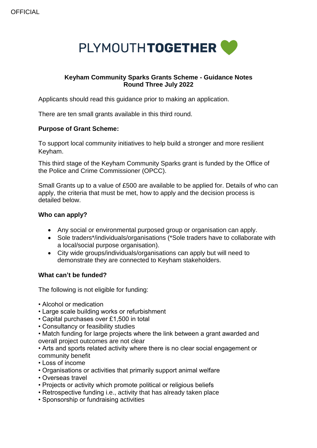

# **Keyham Community Sparks Grants Scheme - Guidance Notes Round Three July 2022**

Applicants should read this guidance prior to making an application.

There are ten small grants available in this third round.

### **Purpose of Grant Scheme:**

To support local community initiatives to help build a stronger and more resilient Keyham.

This third stage of the Keyham Community Sparks grant is funded by the Office of the Police and Crime Commissioner (OPCC).

Small Grants up to a value of £500 are available to be applied for. Details of who can apply, the criteria that must be met, how to apply and the decision process is detailed below.

# **Who can apply?**

- Any social or environmental purposed group or organisation can apply.
- Sole traders\*/individuals/organisations (\*Sole traders have to collaborate with a local/social purpose organisation).
- City wide groups/individuals/organisations can apply but will need to demonstrate they are connected to Keyham stakeholders.

### **What can't be funded?**

The following is not eligible for funding:

- Alcohol or medication
- Large scale building works or refurbishment
- Capital purchases over £1,500 in total
- Consultancy or feasibility studies

• Match funding for large projects where the link between a grant awarded and overall project outcomes are not clear

• Arts and sports related activity where there is no clear social engagement or community benefit

- Loss of income
- Organisations or activities that primarily support animal welfare
- Overseas travel
- Projects or activity which promote political or religious beliefs
- Retrospective funding i.e., activity that has already taken place
- Sponsorship or fundraising activities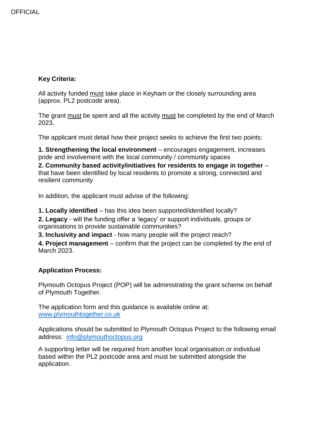# **Key Criteria:**

All activity funded must take place in Keyham or the closely surrounding area (approx. PL2 postcode area).

The grant must be spent and all the activity must be completed by the end of March 2023.

The applicant must detail how their project seeks to achieve the first two points:

**1. Strengthening the local environment** – encourages engagement, increases pride and involvement with the local community / community spaces

**2. Community based activity/initiatives for residents to engage in together** – that have been identified by local residents to promote a strong, connected and resilient community

In addition, the applicant must advise of the following:

**1. Locally identified** – has this idea been supported/identified locally?

**2. Legacy** - will the funding offer a 'legacy' or support individuals, groups or organisations to provide sustainable communities?

**3. Inclusivity and impact** - how many people will the project reach?

**4. Project management** – confirm that the project can be completed by the end of March 2023.

### **Application Process:**

Plymouth Octopus Project (POP) will be administrating the grant scheme on behalf of Plymouth Together.

The application form and this guidance is available online at: [www.plymouthtogether.co.uk](http://www.plymouthtogether.co.uk/)

Applications should be submitted to Plymouth Octopus Project to the following email address: [info@plymouthoctopus.org](mailto:info@plymouthoctopus.org)

A supporting letter will be required from another local organisation or individual based within the PL2 postcode area and must be submitted alongside the application.